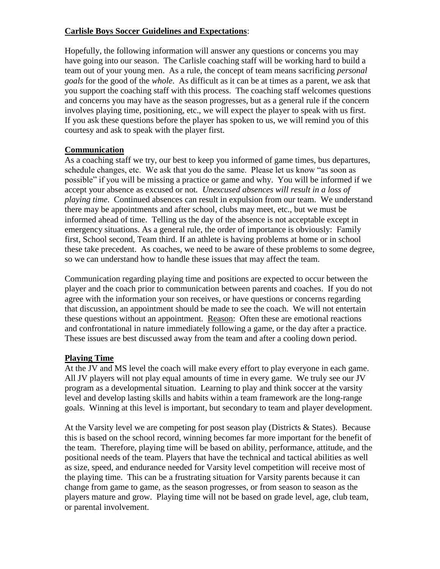## **Carlisle Boys Soccer Guidelines and Expectations**:

Hopefully, the following information will answer any questions or concerns you may have going into our season. The Carlisle coaching staff will be working hard to build a team out of your young men. As a rule, the concept of team means sacrificing *personal goals* for the good of the *whole*. As difficult as it can be at times as a parent, we ask that you support the coaching staff with this process. The coaching staff welcomes questions and concerns you may have as the season progresses, but as a general rule if the concern involves playing time, positioning, etc., we will expect the player to speak with us first. If you ask these questions before the player has spoken to us, we will remind you of this courtesy and ask to speak with the player first.

# **Communication**

As a coaching staff we try, our best to keep you informed of game times, bus departures, schedule changes, etc. We ask that you do the same. Please let us know "as soon as possible" if you will be missing a practice or game and why. You will be informed if we accept your absence as excused or not*. Unexcused absences will result in a loss of playing time*. Continued absences can result in expulsion from our team. We understand there may be appointments and after school, clubs may meet, etc., but we must be informed ahead of time. Telling us the day of the absence is not acceptable except in emergency situations. As a general rule, the order of importance is obviously: Family first, School second, Team third. If an athlete is having problems at home or in school these take precedent. As coaches, we need to be aware of these problems to some degree, so we can understand how to handle these issues that may affect the team.

Communication regarding playing time and positions are expected to occur between the player and the coach prior to communication between parents and coaches. If you do not agree with the information your son receives, or have questions or concerns regarding that discussion, an appointment should be made to see the coach. We will not entertain these questions without an appointment. Reason: Often these are emotional reactions and confrontational in nature immediately following a game, or the day after a practice. These issues are best discussed away from the team and after a cooling down period.

### **Playing Time**

At the JV and MS level the coach will make every effort to play everyone in each game. All JV players will not play equal amounts of time in every game. We truly see our JV program as a developmental situation. Learning to play and think soccer at the varsity level and develop lasting skills and habits within a team framework are the long-range goals. Winning at this level is important, but secondary to team and player development.

At the Varsity level we are competing for post season play (Districts  $\&$  States). Because this is based on the school record, winning becomes far more important for the benefit of the team. Therefore, playing time will be based on ability, performance, attitude, and the positional needs of the team. Players that have the technical and tactical abilities as well as size, speed, and endurance needed for Varsity level competition will receive most of the playing time. This can be a frustrating situation for Varsity parents because it can change from game to game, as the season progresses, or from season to season as the players mature and grow. Playing time will not be based on grade level, age, club team, or parental involvement.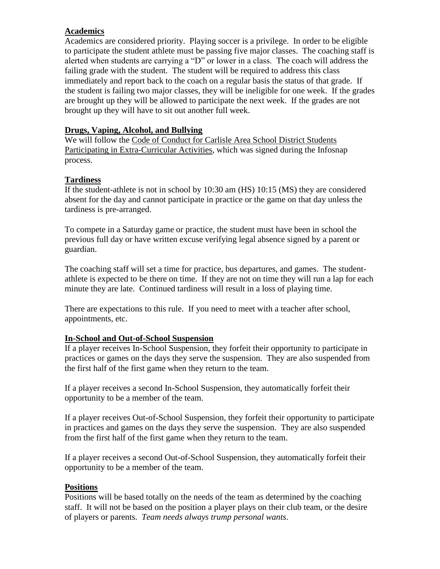# **Academics**

Academics are considered priority. Playing soccer is a privilege. In order to be eligible to participate the student athlete must be passing five major classes. The coaching staff is alerted when students are carrying a "D" or lower in a class. The coach will address the failing grade with the student. The student will be required to address this class immediately and report back to the coach on a regular basis the status of that grade. If the student is failing two major classes, they will be ineligible for one week. If the grades are brought up they will be allowed to participate the next week. If the grades are not brought up they will have to sit out another full week.

## **Drugs, Vaping, Alcohol, and Bullying**

We will follow the Code of Conduct for Carlisle Area School District Students Participating in Extra-Curricular Activities, which was signed during the Infosnap process.

# **Tardiness**

If the student-athlete is not in school by 10:30 am (HS) 10:15 (MS) they are considered absent for the day and cannot participate in practice or the game on that day unless the tardiness is pre-arranged.

To compete in a Saturday game or practice, the student must have been in school the previous full day or have written excuse verifying legal absence signed by a parent or guardian.

The coaching staff will set a time for practice, bus departures, and games. The studentathlete is expected to be there on time. If they are not on time they will run a lap for each minute they are late. Continued tardiness will result in a loss of playing time.

There are expectations to this rule. If you need to meet with a teacher after school, appointments, etc.

### **In-School and Out-of-School Suspension**

If a player receives In-School Suspension, they forfeit their opportunity to participate in practices or games on the days they serve the suspension. They are also suspended from the first half of the first game when they return to the team.

If a player receives a second In-School Suspension, they automatically forfeit their opportunity to be a member of the team.

If a player receives Out-of-School Suspension, they forfeit their opportunity to participate in practices and games on the days they serve the suspension. They are also suspended from the first half of the first game when they return to the team.

If a player receives a second Out-of-School Suspension, they automatically forfeit their opportunity to be a member of the team.

### **Positions**

Positions will be based totally on the needs of the team as determined by the coaching staff. It will not be based on the position a player plays on their club team, or the desire of players or parents. *Team needs always trump personal wants*.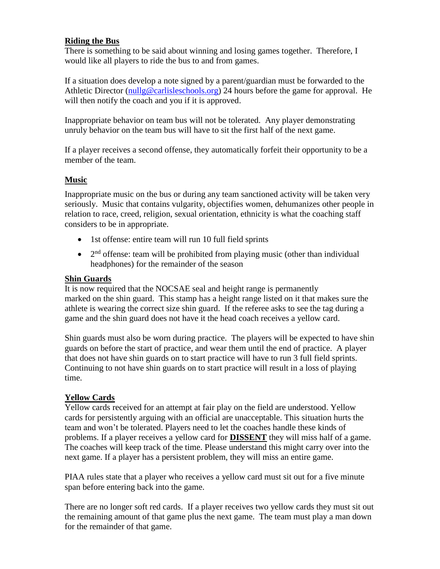### **Riding the Bus**

There is something to be said about winning and losing games together. Therefore, I would like all players to ride the bus to and from games.

If a situation does develop a note signed by a parent/guardian must be forwarded to the Athletic Director [\(nullg@carlisleschools.org\)](mailto:nullg@carlisleschools.org) 24 hours before the game for approval. He will then notify the coach and you if it is approved.

Inappropriate behavior on team bus will not be tolerated. Any player demonstrating unruly behavior on the team bus will have to sit the first half of the next game.

If a player receives a second offense, they automatically forfeit their opportunity to be a member of the team.

#### **Music**

Inappropriate music on the bus or during any team sanctioned activity will be taken very seriously. Music that contains vulgarity, objectifies women, dehumanizes other people in relation to race, creed, religion, sexual orientation, ethnicity is what the coaching staff considers to be in appropriate.

- 1st offense: entire team will run 10 full field sprints
- $\bullet$   $2<sup>nd</sup>$  offense: team will be prohibited from playing music (other than individual headphones) for the remainder of the season

#### **Shin Guards**

It is now required that the NOCSAE seal and height range is permanently marked on the shin guard. This stamp has a height range listed on it that makes sure the athlete is wearing the correct size shin guard. If the referee asks to see the tag during a game and the shin guard does not have it the head coach receives a yellow card.

Shin guards must also be worn during practice. The players will be expected to have shin guards on before the start of practice, and wear them until the end of practice. A player that does not have shin guards on to start practice will have to run 3 full field sprints. Continuing to not have shin guards on to start practice will result in a loss of playing time.

### **Yellow Cards**

Yellow cards received for an attempt at fair play on the field are understood. Yellow cards for persistently arguing with an official are unacceptable. This situation hurts the team and won't be tolerated. Players need to let the coaches handle these kinds of problems. If a player receives a yellow card for **DISSENT** they will miss half of a game. The coaches will keep track of the time. Please understand this might carry over into the next game. If a player has a persistent problem, they will miss an entire game.

PIAA rules state that a player who receives a yellow card must sit out for a five minute span before entering back into the game.

There are no longer soft red cards. If a player receives two yellow cards they must sit out the remaining amount of that game plus the next game. The team must play a man down for the remainder of that game.